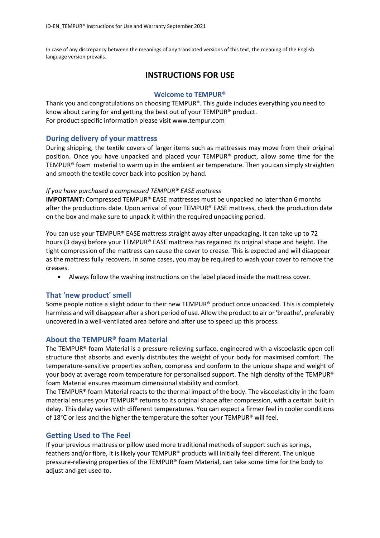In case of any discrepancy between the meanings of any translated versions of this text, the meaning of the English language version prevails.

# **INSTRUCTIONS FOR USE**

### **Welcome to TEMPUR®**

Thank you and congratulations on choosing TEMPUR®. This guide includes everything you need to know about caring for and getting the best out of your TEMPUR® product. For product specific information please visit [www.tempur.com](http://www.tempur.com/) 

### **During delivery of your mattress**

During shipping, the textile covers of larger items such as mattresses may move from their original position. Once you have unpacked and placed your TEMPUR® product, allow some time for the TEMPUR® foam material to warm up in the ambient air temperature. Then you can simply straighten and smooth the textile cover back into position by hand.

### *If you have purchased a compressed TEMPUR® EASE mattress*

**IMPORTANT:** Compressed TEMPUR® EASE mattresses must be unpacked no later than 6 months after the productions date. Upon arrival of your TEMPUR® EASE mattress, check the production date on the box and make sure to unpack it within the required unpacking period.

You can use your TEMPUR® EASE mattress straight away after unpackaging. It can take up to 72 hours (3 days) before your TEMPUR® EASE mattress has regained its original shape and height. The tight compression of the mattress can cause the cover to crease. This is expected and will disappear as the mattress fully recovers. In some cases, you may be required to wash your cover to remove the creases.

• Always follow the washing instructions on the label placed inside the mattress cover.

### **That 'new product' smell**

Some people notice a slight odour to their new TEMPUR® product once unpacked. This is completely harmless and will disappear after a short period of use. Allow the product to air or 'breathe', preferably uncovered in a well-ventilated area before and after use to speed up this process.

### **About the TEMPUR® foam Material**

The TEMPUR® foam Material is a pressure-relieving surface, engineered with a viscoelastic open cell structure that absorbs and evenly distributes the weight of your body for maximised comfort. The temperature-sensitive properties soften, compress and conform to the unique shape and weight of your body at average room temperature for personalised support. The high density of the TEMPUR® foam Material ensures maximum dimensional stability and comfort.

The TEMPUR<sup>®</sup> foam Material reacts to the thermal impact of the body. The viscoelasticity in the foam material ensures your TEMPUR® returns to its original shape after compression, with a certain built in delay. This delay varies with different temperatures. You can expect a firmer feel in cooler conditions of 18 $^{\circ}$ C or less and the higher the temperature the softer your TEMPUR® will feel.

### **Getting Used to The Feel**

If your previous mattress or pillow used more traditional methods of support such as springs, feathers and/or fibre, it is likely your TEMPUR® products will initially feel different. The unique pressure-relieving properties of the TEMPUR® foam Material, can take some time for the body to adjust and get used to.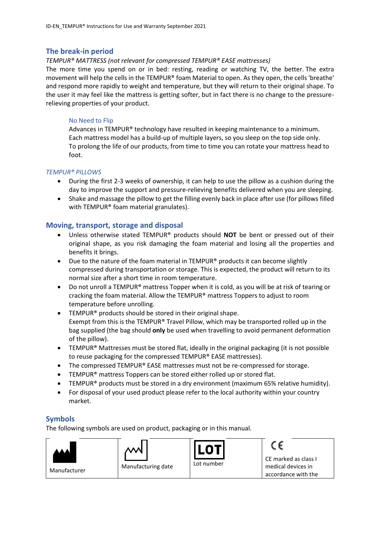### **The break-in period**

#### *TEMPUR® MATTRESS (not relevant for compressed TEMPUR® EASE mattresses)*

The more time you spend on or in bed: resting, reading or watching TV, the better. The extra movement will help the cells in the TEMPUR® foam Material to open. As they open, the cells 'breathe' and respond more rapidly to weight and temperature, but they will return to their original shape. To the user it may feel like the mattress is getting softer, but in fact there is no change to the pressurerelieving properties of your product.

### No Need to Flip

Advances in TEMPUR® technology have resulted in keeping maintenance to a minimum. Each mattress model has a build-up of multiple layers, so you sleep on the top side only. To prolong the life of our products, from time to time you can rotate your mattress head to foot.

#### *TEMPUR® PILLOWS*

- During the first 2-3 weeks of ownership, it can help to use the pillow as a cushion during the day to improve the support and pressure-relieving benefits delivered when you are sleeping.
- Shake and massage the pillow to get the filling evenly back in place after use (for pillows filled with TEMPUR® foam material granulates).

### **Moving, transport, storage and disposal**

- Unless otherwise stated TEMPUR® products should **NOT** be bent or pressed out of their original shape, as you risk damaging the foam material and losing all the properties and benefits it brings.
- Due to the nature of the foam material in TEMPUR® products it can become slightly compressed during transportation or storage. This is expected, the product will return to its normal size after a short time in room temperature.
- Do not unroll a TEMPUR® mattress Topper when it is cold, as you will be at risk of tearing or cracking the foam material. Allow the TEMPUR® mattress Toppers to adjust to room temperature before unrolling.
- TEMPUR® products should be stored in their original shape. Exempt from this is the TEMPUR® Travel Pillow, which may be transported rolled up in the bag supplied (the bag should **only** be used when travelling to avoid permanent deformation of the pillow).
- TEMPUR<sup>®</sup> Mattresses must be stored flat, ideally in the original packaging (it is not possible to reuse packaging for the compressed TEMPUR® EASE mattresses).
- The compressed TEMPUR® EASE mattresses must not be re-compressed for storage.
- TEMPUR<sup>®</sup> mattress Toppers can be stored either rolled up or stored flat.
- TEMPUR® products must be stored in a dry environment (maximum 65% relative humidity).
- For disposal of your used product please refer to the local authority within your country market.

### **Symbols**

The following symbols are used on product, packaging or in this manual.

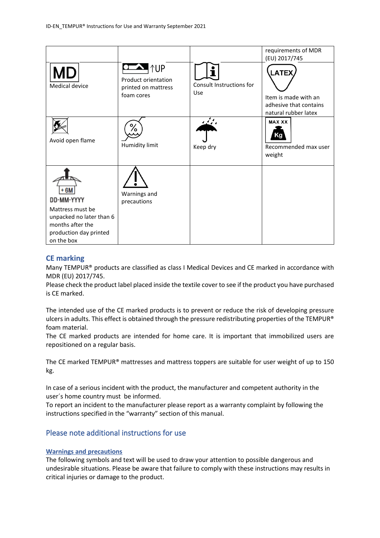|                                                                                                                                |                                                                        |                                 | requirements of MDR<br>(EU) 2017/745                                            |
|--------------------------------------------------------------------------------------------------------------------------------|------------------------------------------------------------------------|---------------------------------|---------------------------------------------------------------------------------|
| Medical device                                                                                                                 | <b>TUP</b><br>Product orientation<br>printed on mattress<br>foam cores | Consult Instructions for<br>Use | LATEX<br>Item is made with an<br>adhesive that contains<br>natural rubber latex |
| Avoid open flame                                                                                                               | ⁄٥<br>Humidity limit                                                   | ومنيعة<br>Keep dry              | <b>MAX XX</b><br>Recommended max user<br>weight                                 |
| + 6M<br>DD-MM-YYYY<br>Mattress must be<br>unpacked no later than 6<br>months after the<br>production day printed<br>on the box | Warnings and<br>precautions                                            |                                 |                                                                                 |

### **CE marking**

Many TEMPUR® products are classified as class I Medical Devices and CE marked in accordance with MDR (EU) 2017/745.

Please check the product label placed inside the textile cover to see if the product you have purchased is CE marked.

The intended use of the CE marked products is to prevent or reduce the risk of developing pressure ulcers in adults. This effect is obtained through the pressure redistributing properties of the TEMPUR® foam material.

The CE marked products are intended for home care. It is important that immobilized users are repositioned on a regular basis.

The CE marked TEMPUR® mattresses and mattress toppers are suitable for user weight of up to 150 kg.

In case of a serious incident with the product, the manufacturer and competent authority in the user´s home country must be informed.

To report an incident to the manufacturer please report as a warranty complaint by following the instructions specified in the "warranty" section of this manual.

# Please note additional instructions for use

### **Warnings and precautions**

The following symbols and text will be used to draw your attention to possible dangerous and undesirable situations. Please be aware that failure to comply with these instructions may results in critical injuries or damage to the product.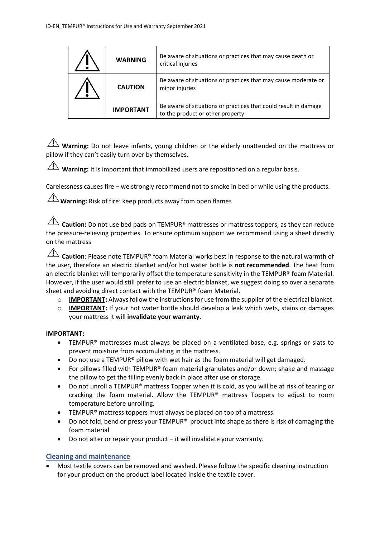| <b>WARNING</b>   | Be aware of situations or practices that may cause death or<br>critical injuries                    |
|------------------|-----------------------------------------------------------------------------------------------------|
| <b>CAUTION</b>   | Be aware of situations or practices that may cause moderate or<br>minor injuries                    |
| <b>IMPORTANT</b> | Be aware of situations or practices that could result in damage<br>to the product or other property |

 $\overline{\Lambda}$  **Warning:** Do not leave infants, young children or the elderly unattended on the mattress or pillow if they can't easily turn over by themselves**.**

 $\hat{\Lambda}$  **Warning:** It is important that immobilized users are repositioned on a regular basis.

Carelessness causes fire – we strongly recommend not to smoke in bed or while using the products.

 $\angle$ **!** Warning: Risk of fire: keep products away from open flames

**Caution:** Do not use bed pads on TEMPUR<sup>®</sup> mattresses or mattress toppers, as they can reduce the pressure-relieving properties. To ensure optimum support we recommend using a sheet directly on the mattress

**Caution**: Please note TEMPUR® foam Material works best in response to the natural warmth of the user, therefore an electric blanket and/or hot water bottle is **not recommended**. The heat from an electric blanket will temporarily offset the temperature sensitivity in the TEMPUR® foam Material. However, if the user would still prefer to use an electric blanket, we suggest doing so over a separate sheet and avoiding direct contact with the TEMPUR® foam Material.

- $\circ$  **IMPORTANT:** Always follow the instructions for use from the supplier of the electrical blanket.
- o **IMPORTANT:** If your hot water bottle should develop a leak which wets, stains or damages your mattress it will **invalidate your warranty.**

### **IMPORTANT:**

- TEMPUR® mattresses must always be placed on a ventilated base, e.g. springs or slats to prevent moisture from accumulating in the mattress.
- Do not use a TEMPUR® pillow with wet hair as the foam material will get damaged.
- For pillows filled with TEMPUR® foam material granulates and/or down; shake and massage the pillow to get the filling evenly back in place after use or storage.
- Do not unroll a TEMPUR® mattress Topper when it is cold, as you will be at risk of tearing or cracking the foam material. Allow the TEMPUR® mattress Toppers to adjust to room temperature before unrolling.
- TEMPUR<sup>®</sup> mattress toppers must always be placed on top of a mattress.
- Do not fold, bend or press your TEMPUR<sup>®</sup> product into shape as there is risk of damaging the foam material
- Do not alter or repair your product it will invalidate your warranty.

### **Cleaning and maintenance**

• Most textile covers can be removed and washed. Please follow the specific cleaning instruction for your product on the product label located inside the textile cover.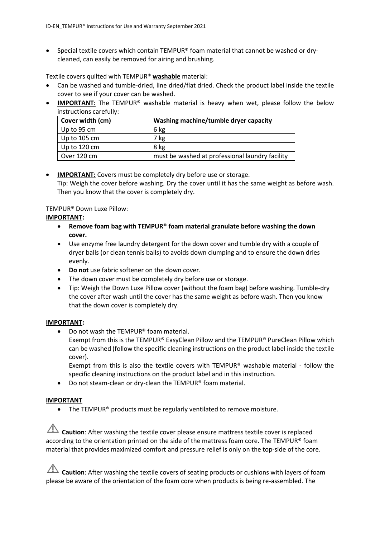• Special textile covers which contain TEMPUR® foam material that cannot be washed or drycleaned, can easily be removed for airing and brushing.

Textile covers quilted with TEMPUR® **washable** material:

- Can be washed and tumble-dried, line dried/flat dried. Check the product label inside the textile cover to see if your cover can be washed.
- **IMPORTANT:** The TEMPUR<sup>®</sup> washable material is heavy when wet, please follow the below instructions carefully:

| Cover width (cm)     | Washing machine/tumble dryer capacity           |
|----------------------|-------------------------------------------------|
| $\vert$ Up to 95 cm  | 6 kg                                            |
| $\vert$ Up to 105 cm | 7 kg                                            |
| Up to 120 cm         | 8 kg                                            |
| Over 120 cm          | must be washed at professional laundry facility |

### • **IMPORTANT:** Covers must be completely dry before use or storage. Tip: Weigh the cover before washing. Dry the cover until it has the same weight as before wash. Then you know that the cover is completely dry.

## TEMPUR® Down Luxe Pillow:

### **IMPORTANT:**

- **Remove foam bag with TEMPUR® foam material granulate before washing the down cover.**
- Use enzyme free laundry detergent for the down cover and tumble dry with a couple of dryer balls (or clean tennis balls) to avoids down clumping and to ensure the down dries evenly.
- **Do not** use fabric softener on the down cover.
- The down cover must be completely dry before use or storage.
- Tip: Weigh the Down Luxe Pillow cover (without the foam bag) before washing. Tumble-dry the cover after wash until the cover has the same weight as before wash. Then you know that the down cover is completely dry.

### **IMPORTANT:**

• Do not wash the TEMPUR® foam material. Exempt from this is the TEMPUR® EasyClean Pillow and the TEMPUR® PureClean Pillow which can be washed (follow the specific cleaning instructions on the product label inside the textile

cover). Exempt from this is also the textile covers with TEMPUR® washable material - follow the

specific cleaning instructions on the product label and in this instruction. • Do not steam-clean or dry-clean the TEMPUR® foam material.

# **IMPORTANT**

• The TEMPUR<sup>®</sup> products must be regularly ventilated to remove moisture.

**Caution**: After washing the textile cover please ensure mattress textile cover is replaced according to the orientation printed on the side of the mattress foam core. The TEMPUR® foam material that provides maximized comfort and pressure relief is only on the top-side of the core.

**Caution**: After washing the textile covers of seating products or cushions with layers of foam please be aware of the orientation of the foam core when products is being re-assembled. The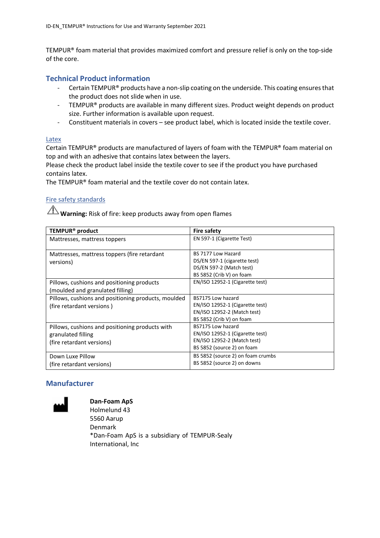TEMPUR® foam material that provides maximized comfort and pressure relief is only on the top-side of the core.

### **Technical Product information**

- Certain TEMPUR® products have a non-slip coating on the underside. This coating ensures that the product does not slide when in use.
- TEMPUR® products are available in many different sizes. Product weight depends on product size. Further information is available upon request.
- Constituent materials in covers see product label, which is located inside the textile cover.

#### Latex

Certain TEMPUR® products are manufactured of layers of foam with the TEMPUR® foam material on top and with an adhesive that contains latex between the layers.

Please check the product label inside the textile cover to see if the product you have purchased contains latex.

The TEMPUR® foam material and the textile cover do not contain latex.

### Fire safety standards

**Warning:** Risk of fire: keep products away from open flames

| TEMPUR <sup>®</sup> product                                                                        | <b>Fire safety</b>                                                                                                |
|----------------------------------------------------------------------------------------------------|-------------------------------------------------------------------------------------------------------------------|
| Mattresses, mattress toppers                                                                       | EN 597-1 (Cigarette Test)                                                                                         |
| Mattresses, mattress toppers (fire retardant<br>versions)                                          | BS 7177 Low Hazard<br>DS/EN 597-1 (cigarette test)<br>DS/EN 597-2 (Match test)<br>BS 5852 (Crib V) on foam        |
| Pillows, cushions and positioning products<br>(moulded and granulated filling)                     | EN/ISO 12952-1 (Cigarette test)                                                                                   |
| Pillows, cushions and positioning products, moulded<br>(fire retardant versions)                   | BS7175 Low hazard<br>EN/ISO 12952-1 (Cigarette test)<br>EN/ISO 12952-2 (Match test)<br>BS 5852 (Crib V) on foam   |
| Pillows, cushions and positioning products with<br>granulated filling<br>(fire retardant versions) | BS7175 Low hazard<br>EN/ISO 12952-1 (Cigarette test)<br>EN/ISO 12952-2 (Match test)<br>BS 5852 (source 2) on foam |
| Down Luxe Pillow<br>(fire retardant versions)                                                      | BS 5852 (source 2) on foam crumbs<br>BS 5852 (source 2) on downs                                                  |

# **Manufacturer**



**Dan-Foam ApS** Holmelund 43 5560 Aarup Denmark \*Dan-Foam ApS is a subsidiary of TEMPUR-Sealy International, Inc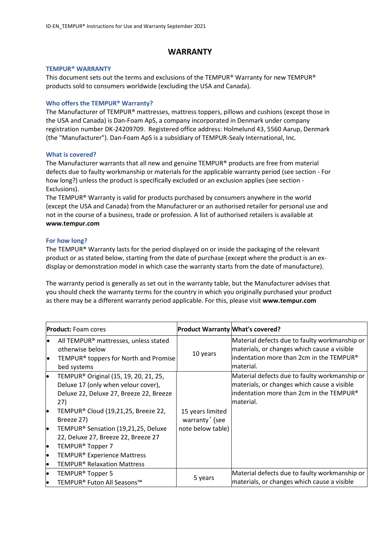## **WARRANTY**

#### **TEMPUR® WARRANTY**

This document sets out the terms and exclusions of the TEMPUR® Warranty for new TEMPUR® products sold to consumers worldwide (excluding the USA and Canada).

#### **Who offers the TEMPUR® Warranty?**

The Manufacturer of TEMPUR® mattresses, mattress toppers, pillows and cushions (except those in the USA and Canada) is Dan-Foam ApS, a company incorporated in Denmark under company registration number DK-24209709. Registered office address: Holmelund 43, 5560 Aarup, Denmark (the "Manufacturer"). Dan-Foam ApS is a subsidiary of TEMPUR-Sealy International, Inc.

#### **What is covered?**

The Manufacturer warrants that all new and genuine TEMPUR® products are free from material defects due to faulty workmanship or materials for the applicable warranty period (see section - For how long?) unless the product is specifically excluded or an exclusion applies (see section - Exclusions).

The TEMPUR® Warranty is valid for products purchased by consumers anywhere in the world (except the USA and Canada) from the Manufacturer or an authorised retailer for personal use and not in the course of a business, trade or profession. A list of authorised retailers is available at **www[.tempur.com](http://www.tempur.com/)**

#### **For how long?**

The TEMPUR® Warranty lasts for the period displayed on or inside the packaging of the relevant product or as stated below, starting from the date of purchase (except where the product is an exdisplay or demonstration model in which case the warranty starts from the date of manufacture).

The warranty period is generally as set out in the warranty table, but the Manufacturer advises that you should check the warranty terms for the country in which you originally purchased your product as there may be a different warranty period applicable. For this, please visit **www.tempur.com**

|          | <b>Product:</b> Foam cores                                                                                                                 | <b>Product Warranty What's covered?</b>        |                                                                                                                                                        |
|----------|--------------------------------------------------------------------------------------------------------------------------------------------|------------------------------------------------|--------------------------------------------------------------------------------------------------------------------------------------------------------|
| le<br>le | All TEMPUR <sup>®</sup> mattresses, unless stated<br>otherwise below<br>TEMPUR <sup>®</sup> toppers for North and Promise<br>bed systems   | 10 years                                       | Material defects due to faulty workmanship or<br>materials, or changes which cause a visible<br>lindentation more than 2cm in the TEMPUR®<br>material. |
| lo       | TEMPUR <sup>®</sup> Original (15, 19, 20, 21, 25,<br>Deluxe 17 (only when velour cover),<br>Deluxe 22, Deluxe 27, Breeze 22, Breeze<br>27) |                                                | Material defects due to faulty workmanship or<br>materials, or changes which cause a visible<br>lindentation more than 2cm in the TEMPUR®<br>material. |
| lo       | TEMPUR® Cloud (19,21,25, Breeze 22,<br>Breeze 27)                                                                                          | 15 years limited<br>warranty <sup>*</sup> (see |                                                                                                                                                        |
| lo       | TEMPUR <sup>®</sup> Sensation (19,21,25, Deluxe<br>22, Deluxe 27, Breeze 22, Breeze 27                                                     | note below table)                              |                                                                                                                                                        |
| l•       | TEMPUR <sup>®</sup> Topper 7                                                                                                               |                                                |                                                                                                                                                        |
| lo       | TEMPUR <sup>®</sup> Experience Mattress                                                                                                    |                                                |                                                                                                                                                        |
| lo       | <b>TEMPUR<sup>®</sup> Relaxation Mattress</b>                                                                                              |                                                |                                                                                                                                                        |
| lo       | TEMPUR <sup>®</sup> Topper 5                                                                                                               |                                                | Material defects due to faulty workmanship or                                                                                                          |
| lo       | TEMPUR® Futon All Seasons™                                                                                                                 | 5 years                                        | materials, or changes which cause a visible                                                                                                            |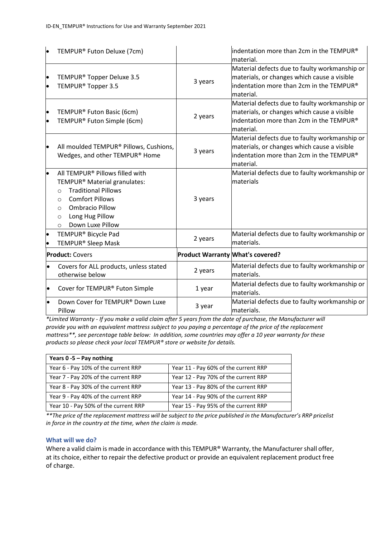| lo                     | TEMPUR® Futon Deluxe (7cm)                                                                                                                                                                                                                        |                                         | lindentation more than 2cm in the TEMPUR®<br>material.                                                                                                |
|------------------------|---------------------------------------------------------------------------------------------------------------------------------------------------------------------------------------------------------------------------------------------------|-----------------------------------------|-------------------------------------------------------------------------------------------------------------------------------------------------------|
| $\bullet$<br>$\bullet$ | TEMPUR <sup>®</sup> Topper Deluxe 3.5<br>TEMPUR <sup>®</sup> Topper 3.5                                                                                                                                                                           | 3 years                                 | Material defects due to faulty workmanship or<br>materials, or changes which cause a visible<br>indentation more than 2cm in the TEMPUR®<br>material. |
| $\bullet$<br>$\bullet$ | TEMPUR® Futon Basic (6cm)<br>TEMPUR® Futon Simple (6cm)                                                                                                                                                                                           | 2 years                                 | Material defects due to faulty workmanship or<br>materials, or changes which cause a visible<br>indentation more than 2cm in the TEMPUR®<br>material. |
| $\bullet$              | All moulded TEMPUR® Pillows, Cushions,<br>Wedges, and other TEMPUR® Home                                                                                                                                                                          | 3 years                                 | Material defects due to faulty workmanship or<br>materials, or changes which cause a visible<br>indentation more than 2cm in the TEMPUR®<br>material. |
| ۱.                     | All TEMPUR® Pillows filled with<br>TEMPUR® Material granulates:<br><b>Traditional Pillows</b><br>$\Omega$<br><b>Comfort Pillows</b><br>$\Omega$<br><b>Ombracio Pillow</b><br>$\circ$<br>Long Hug Pillow<br>$\circ$<br>Down Luxe Pillow<br>$\circ$ | 3 years                                 | Material defects due to faulty workmanship or<br>materials                                                                                            |
| $\bullet$              | TEMPUR <sup>®</sup> Bicycle Pad<br>TEMPUR <sup>®</sup> Sleep Mask                                                                                                                                                                                 | 2 years                                 | Material defects due to faulty workmanship or<br>materials.                                                                                           |
|                        | <b>Product: Covers</b>                                                                                                                                                                                                                            | <b>Product Warranty What's covered?</b> |                                                                                                                                                       |
| $\bullet$              | Covers for ALL products, unless stated<br>otherwise below                                                                                                                                                                                         | 2 years                                 | Material defects due to faulty workmanship or<br>lmaterials.                                                                                          |
| $\bullet$              | Cover for TEMPUR® Futon Simple                                                                                                                                                                                                                    | 1 year                                  | Material defects due to faulty workmanship or<br>materials.                                                                                           |
|                        | Down Cover for TEMPUR® Down Luxe<br>Pillow                                                                                                                                                                                                        | 3 year                                  | Material defects due to faulty workmanship or<br>materials.                                                                                           |

*\*Limited Warranty - If you make a valid claim after 5 years from the date of purchase, the Manufacturer will provide you with an equivalent mattress subject to you paying a percentage of the price of the replacement mattress\*\*, see percentage table below: In addition, some countries may offer a 10 year warranty for these products so please check your local TEMPUR® store or website for details.*

| Years $0 - 5 - Pay nothing$          |                                      |
|--------------------------------------|--------------------------------------|
| Year 6 - Pay 10% of the current RRP  | Year 11 - Pay 60% of the current RRP |
| Year 7 - Pay 20% of the current RRP  | Year 12 - Pay 70% of the current RRP |
| Year 8 - Pay 30% of the current RRP  | Year 13 - Pay 80% of the current RRP |
| Year 9 - Pay 40% of the current RRP  | Year 14 - Pay 90% of the current RRP |
| Year 10 - Pay 50% of the current RRP | Year 15 - Pay 95% of the current RRP |

*\*\*The price of the replacement mattress will be subject to the price published in the Manufacturer's RRP pricelist in force in the country at the time, when the claim is made.*

### **What will we do?**

Where a valid claim is made in accordance with this TEMPUR® Warranty, the Manufacturer shall offer, at its choice, either to repair the defective product or provide an equivalent replacement product free of charge.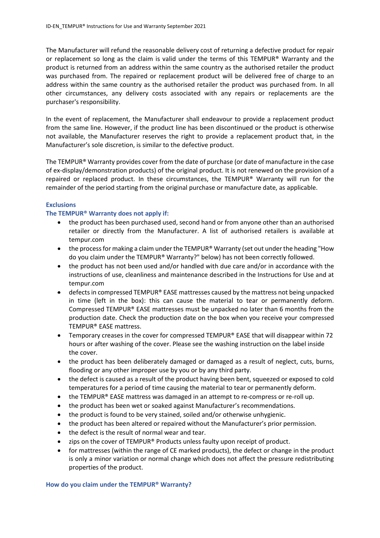The Manufacturer will refund the reasonable delivery cost of returning a defective product for repair or replacement so long as the claim is valid under the terms of this TEMPUR® Warranty and the product is returned from an address within the same country as the authorised retailer the product was purchased from. The repaired or replacement product will be delivered free of charge to an address within the same country as the authorised retailer the product was purchased from. In all other circumstances, any delivery costs associated with any repairs or replacements are the purchaser's responsibility.

In the event of replacement, the Manufacturer shall endeavour to provide a replacement product from the same line. However, if the product line has been discontinued or the product is otherwise not available, the Manufacturer reserves the right to provide a replacement product that, in the Manufacturer's sole discretion, is similar to the defective product.

The TEMPUR® Warranty provides cover from the date of purchase (or date of manufacture in the case of ex-display/demonstration products) of the original product. It is not renewed on the provision of a repaired or replaced product. In these circumstances, the TEMPUR® Warranty will run for the remainder of the period starting from the original purchase or manufacture date, as applicable.

#### **Exclusions**

#### **The TEMPUR® Warranty does not apply if:**

- the product has been purchased used, second hand or from anyone other than an authorised retailer or directly from the Manufacturer. A list of authorised retailers is available at [tempur.com](http://www.tempur.com/)
- the process for making a claim under the TEMPUR® Warranty (set out under the heading "How do you claim under the TEMPUR® Warranty?" below) has not been correctly followed.
- the product has not been used and/or handled with due care and/or in accordance with the instructions of use, cleanliness and maintenance described in the Instructions for Use and at [tempur.com](http://www.tempur.com/)
- $\bullet$  defects in compressed TEMPUR® EASE mattresses caused by the mattress not being unpacked in time (left in the box): this can cause the material to tear or permanently deform. Compressed TEMPUR® EASE mattresses must be unpacked no later than 6 months from the production date. Check the production date on the box when you receive your compressed TEMPUR® EASE mattress.
- Temporary creases in the cover for compressed TEMPUR® EASE that will disappear within 72 hours or after washing of the cover. Please see the washing instruction on the label inside the cover.
- the product has been deliberately damaged or damaged as a result of neglect, cuts, burns, flooding or any other improper use by you or by any third party.
- the defect is caused as a result of the product having been bent, squeezed or exposed to cold temperatures for a period of time causing the material to tear or permanently deform.
- the TEMPUR® EASE mattress was damaged in an attempt to re-compress or re-roll up.
- the product has been wet or soaked against Manufacturer's recommendations.
- the product is found to be very stained, soiled and/or otherwise unhygienic.
- the product has been altered or repaired without the Manufacturer's prior permission.
- the defect is the result of normal wear and tear.
- zips on the cover of TEMPUR® Products unless faulty upon receipt of product.
- for mattresses (within the range of CE marked products), the defect or change in the product is only a minor variation or normal change which does not affect the pressure redistributing properties of the product.

#### **How do you claim under the TEMPUR® Warranty?**